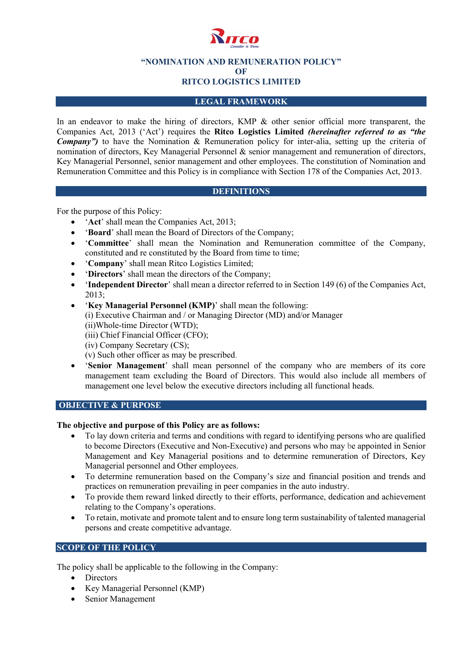

**"NOMINATION AND REMUNERATION POLICY"**

**OF**

# **RITCO LOGISTICS LIMITED**

## **LEGAL FRAMEWORK**

In an endeavor to make the hiring of directors, KMP & other senior official more transparent, the Companies Act, 2013 ('Act') requires the **Ritco Logistics Limited** *(hereinafter referred to as "the Company")* to have the Nomination & Remuneration policy for inter-alia, setting up the criteria of nomination of directors, Key Managerial Personnel & senior management and remuneration of directors, Key Managerial Personnel, senior management and other employees. The constitution of Nomination and Remuneration Committee and this Policy is in compliance with Section 178 of the Companies Act, 2013.

#### **DEFINITIONS**

For the purpose of this Policy:

- '**Act**' shall mean the Companies Act, 2013;
- '**Board**' shall mean the Board of Directors of the Company;
- '**Committee**' shall mean the Nomination and Remuneration committee of the Company, constituted and re constituted by the Board from time to time;
- '**Company**' shall mean Ritco Logistics Limited;
- '**Directors**' shall mean the directors of the Company;
- '**Independent Director**' shall mean a director referred to in Section 149 (6) of the Companies Act, 2013;
- '**Key Managerial Personnel (KMP)**' shall mean the following: (i) Executive Chairman and / or Managing Director (MD) and/or Manager (ii)Whole-time Director (WTD); (iii) Chief Financial Officer (CFO); (iv) Company Secretary (CS); (v) Such other officer as may be prescribed.
- '**Senior Management**' shall mean personnel of the company who are members of its core management team excluding the Board of Directors. This would also include all members of management one level below the executive directors including all functional heads.

#### **OBJECTIVE & PURPOSE**

#### **The objective and purpose of this Policy are as follows:**

- To lay down criteria and terms and conditions with regard to identifying persons who are qualified to become Directors (Executive and Non-Executive) and persons who may be appointed in Senior Management and Key Managerial positions and to determine remuneration of Directors, Key Managerial personnel and Other employees.
- To determine remuneration based on the Company's size and financial position and trends and practices on remuneration prevailing in peer companies in the auto industry.
- To provide them reward linked directly to their efforts, performance, dedication and achievement relating to the Company's operations.
- To retain, motivate and promote talent and to ensure long term sustainability of talented managerial persons and create competitive advantage.

## **SCOPE OF THE POLICY**

The policy shall be applicable to the following in the Company:

- Directors
- Key Managerial Personnel (KMP)
- Senior Management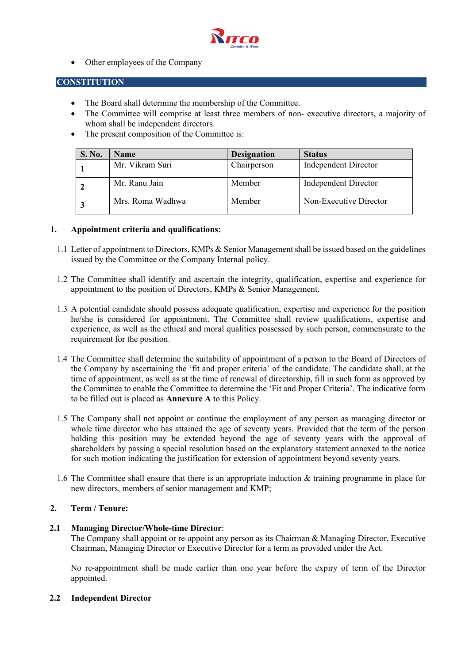

• Other employees of the Company

#### **CONSTITUTION**

- The Board shall determine the membership of the Committee.
- The Committee will comprise at least three members of non- executive directors, a majority of whom shall be independent directors.
- The present composition of the Committee is:

| S. No. | <b>Name</b>      | <b>Designation</b> | <b>Status</b>               |
|--------|------------------|--------------------|-----------------------------|
|        | Mr. Vikram Suri  | Chairperson        | <b>Independent Director</b> |
|        | Mr. Ranu Jain    | Member             | <b>Independent Director</b> |
|        | Mrs. Roma Wadhwa | Member             | Non-Executive Director      |

#### **1. Appointment criteria and qualifications:**

- 1.1 Letter of appointment to Directors, KMPs & Senior Managementshall be issued based on the guidelines issued by the Committee or the Company Internal policy.
- 1.2 The Committee shall identify and ascertain the integrity, qualification, expertise and experience for appointment to the position of Directors, KMPs & Senior Management.
- 1.3 A potential candidate should possess adequate qualification, expertise and experience for the position he/she is considered for appointment. The Committee shall review qualifications, expertise and experience, as well as the ethical and moral qualities possessed by such person, commensurate to the requirement for the position.
- 1.4 The Committee shall determine the suitability of appointment of a person to the Board of Directors of the Company by ascertaining the 'fit and proper criteria' of the candidate. The candidate shall, at the time of appointment, as well as at the time of renewal of directorship, fill in such form as approved by the Committee to enable the Committee to determine the 'Fit and Proper Criteria'. The indicative form to be filled out is placed as **Annexure A** to this Policy.
- 1.5 The Company shall not appoint or continue the employment of any person as managing director or whole time director who has attained the age of seventy years. Provided that the term of the person holding this position may be extended beyond the age of seventy years with the approval of shareholders by passing a special resolution based on the explanatory statement annexed to the notice for such motion indicating the justification for extension of appointment beyond seventy years.
- 1.6 The Committee shall ensure that there is an appropriate induction & training programme in place for new directors, members of senior management and KMP;

### **2. Term / Tenure:**

#### **2.1 Managing Director/Whole-time Director**:

The Company shall appoint or re-appoint any person as its Chairman & Managing Director, Executive Chairman, Managing Director or Executive Director for a term as provided under the Act.

No re-appointment shall be made earlier than one year before the expiry of term of the Director appointed.

#### **2.2 Independent Director**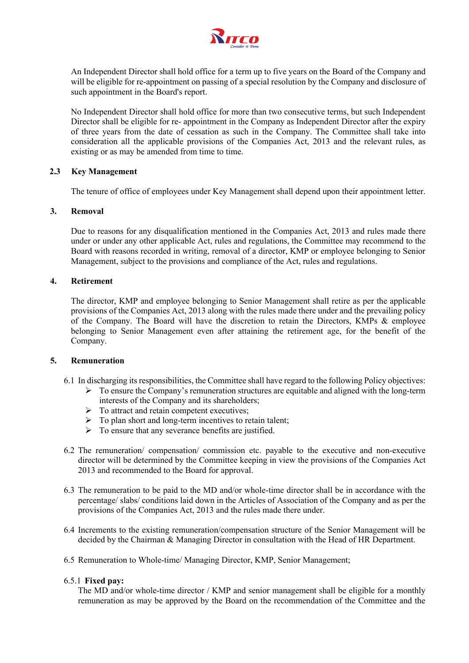

An Independent Director shall hold office for a term up to five years on the Board of the Company and will be eligible for re-appointment on passing of a special resolution by the Company and disclosure of such appointment in the Board's report.

No Independent Director shall hold office for more than two consecutive terms, but such Independent Director shall be eligible for re- appointment in the Company as Independent Director after the expiry of three years from the date of cessation as such in the Company. The Committee shall take into consideration all the applicable provisions of the Companies Act, 2013 and the relevant rules, as existing or as may be amended from time to time.

#### **2.3 Key Management**

The tenure of office of employees under Key Management shall depend upon their appointment letter.

#### **3. Removal**

Due to reasons for any disqualification mentioned in the Companies Act, 2013 and rules made there under or under any other applicable Act, rules and regulations, the Committee may recommend to the Board with reasons recorded in writing, removal of a director, KMP or employee belonging to Senior Management, subject to the provisions and compliance of the Act, rules and regulations.

#### **4. Retirement**

The director, KMP and employee belonging to Senior Management shall retire as per the applicable provisions of the Companies Act, 2013 along with the rules made there under and the prevailing policy of the Company. The Board will have the discretion to retain the Directors, KMPs & employee belonging to Senior Management even after attaining the retirement age, for the benefit of the Company.

#### **5. Remuneration**

- 6.1 In discharging its responsibilities, the Committee shall have regard to the following Policy objectives:
	- $\triangleright$  To ensure the Company's remuneration structures are equitable and aligned with the long-term interests of the Company and its shareholders;
	- $\triangleright$  To attract and retain competent executives;
	- $\triangleright$  To plan short and long-term incentives to retain talent;
	- $\triangleright$  To ensure that any severance benefits are justified.
- 6.2 The remuneration/ compensation/ commission etc. payable to the executive and non-executive director will be determined by the Committee keeping in view the provisions of the Companies Act 2013 and recommended to the Board for approval.
- 6.3 The remuneration to be paid to the MD and/or whole-time director shall be in accordance with the percentage/ slabs/ conditions laid down in the Articles of Association of the Company and as per the provisions of the Companies Act, 2013 and the rules made there under.
- 6.4 Increments to the existing remuneration/compensation structure of the Senior Management will be decided by the Chairman & Managing Director in consultation with the Head of HR Department.
- 6.5 Remuneration to Whole-time/ Managing Director, KMP, Senior Management;

#### 6.5.1 **Fixed pay:**

The MD and/or whole-time director / KMP and senior management shall be eligible for a monthly remuneration as may be approved by the Board on the recommendation of the Committee and the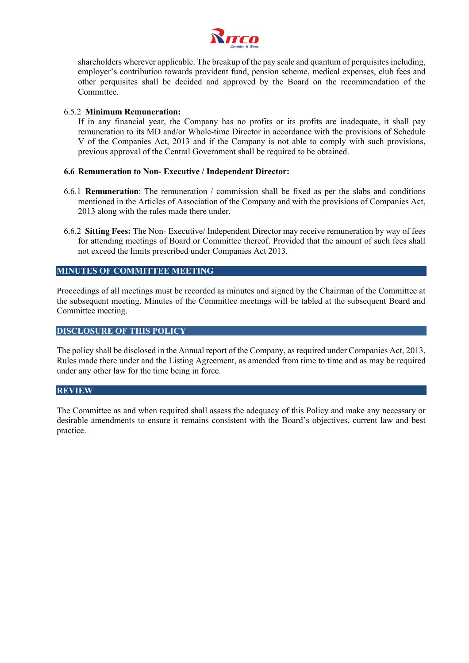

shareholders wherever applicable. The breakup of the pay scale and quantum of perquisites including, employer's contribution towards provident fund, pension scheme, medical expenses, club fees and other perquisites shall be decided and approved by the Board on the recommendation of the Committee.

#### 6.5.2 **Minimum Remuneration:**

If in any financial year, the Company has no profits or its profits are inadequate, it shall pay remuneration to its MD and/or Whole-time Director in accordance with the provisions of Schedule V of the Companies Act, 2013 and if the Company is not able to comply with such provisions, previous approval of the Central Government shall be required to be obtained.

#### **6.6 Remuneration to Non- Executive / Independent Director:**

- 6.6.1 **Remuneration**: The remuneration / commission shall be fixed as per the slabs and conditions mentioned in the Articles of Association of the Company and with the provisions of Companies Act, 2013 along with the rules made there under.
- 6.6.2 **Sitting Fees:** The Non- Executive/ Independent Director may receive remuneration by way of fees for attending meetings of Board or Committee thereof. Provided that the amount of such fees shall not exceed the limits prescribed under Companies Act 2013.

#### **MINUTES OF COMMITTEE MEETING**

Proceedings of all meetings must be recorded as minutes and signed by the Chairman of the Committee at the subsequent meeting. Minutes of the Committee meetings will be tabled at the subsequent Board and Committee meeting.

#### **DISCLOSURE OF THIS POLICY**

The policy shall be disclosed in the Annual report of the Company, as required under Companies Act, 2013, Rules made there under and the Listing Agreement, as amended from time to time and as may be required under any other law for the time being in force.

#### **REVIEW**

The Committee as and when required shall assess the adequacy of this Policy and make any necessary or desirable amendments to ensure it remains consistent with the Board's objectives, current law and best practice.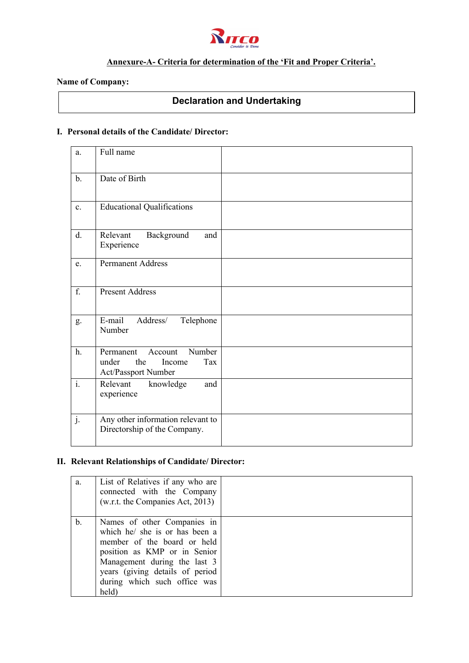

# **Annexure-A- Criteria for determination of the 'Fit and Proper Criteria'.**

### **Name of Company:**

# **Declaration and Undertaking**

## **I. Personal details of the Candidate/ Director:**

| a.               | Full name                                                                              |  |
|------------------|----------------------------------------------------------------------------------------|--|
| $b$ .            | Date of Birth                                                                          |  |
| c.               | <b>Educational Qualifications</b>                                                      |  |
| d.               | Relevant<br>Background<br>and<br>Experience                                            |  |
| e.               | <b>Permanent Address</b>                                                               |  |
| f.               | <b>Present Address</b>                                                                 |  |
| g.               | E-mail<br>Address/<br>Telephone<br>Number                                              |  |
| h.               | Number<br>Permanent<br>Account<br>the<br>under<br>Income<br>Tax<br>Act/Passport Number |  |
| $\overline{i}$ . | Relevant<br>knowledge<br>and<br>experience                                             |  |
| j.               | Any other information relevant to<br>Directorship of the Company.                      |  |

# **II. Relevant Relationships of Candidate/ Director:**

| a. | List of Relatives if any who are<br>connected with the Company<br>(w.r.t. the Companies Act, 2013)                                                                                                                                       |  |
|----|------------------------------------------------------------------------------------------------------------------------------------------------------------------------------------------------------------------------------------------|--|
| b. | Names of other Companies in<br>which he/ she is or has been a<br>member of the board or held<br>position as KMP or in Senior<br>Management during the last 3<br>years (giving details of period<br>during which such office was<br>held) |  |